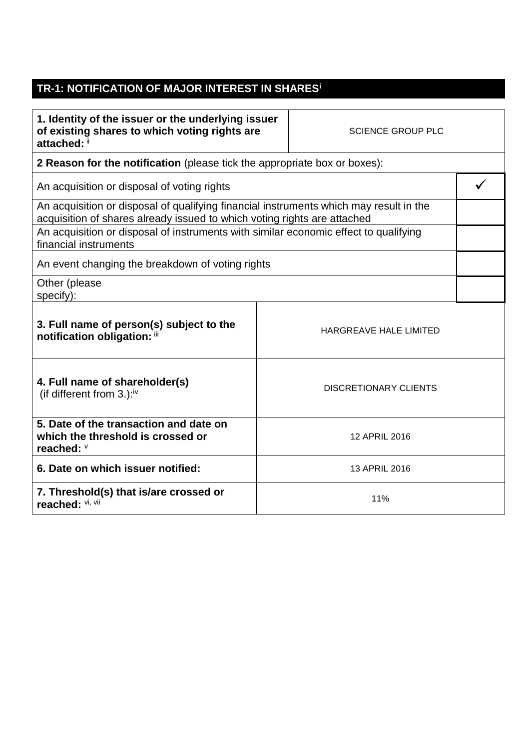## **TR-1: NOTIFICATION OF MAJOR INTEREST IN SHARES<sup>i</sup>**

| 1. Identity of the issuer or the underlying issuer |
|----------------------------------------------------|
| of existing shares to which voting rights are      |
| attached: ii                                       |

SCIENCE GROUP PLC

**HARGREAVE HALE LIMITED** 

**2 Reason for the notification** (please tick the appropriate box or boxes):

An acquisition or disposal of voting rights  $\mathcal{A}$ 

An acquisition or disposal of qualifying financial instruments which may result in the acquisition of shares already issued to which voting rights are attached An acquisition or disposal of instruments with similar economic effect to qualifying financial instruments

An event changing the breakdown of voting rights

Other (please specify):

| 3. Full name of person(s) subject to the<br>notification obligation: iii |  |
|--------------------------------------------------------------------------|--|
|                                                                          |  |

| 4. Full name of shareholder(s)<br>(if different from 3.): $iv$                            | DISCRETIONARY CLIENTS |
|-------------------------------------------------------------------------------------------|-----------------------|
| 5. Date of the transaction and date on<br>which the threshold is crossed or<br>reached: V | 12 APRIL 2016         |
| 6. Date on which issuer notified:                                                         | 13 APRIL 2016         |
| 7. Threshold(s) that is/are crossed or<br>reached: Vi, Vii                                | 11%                   |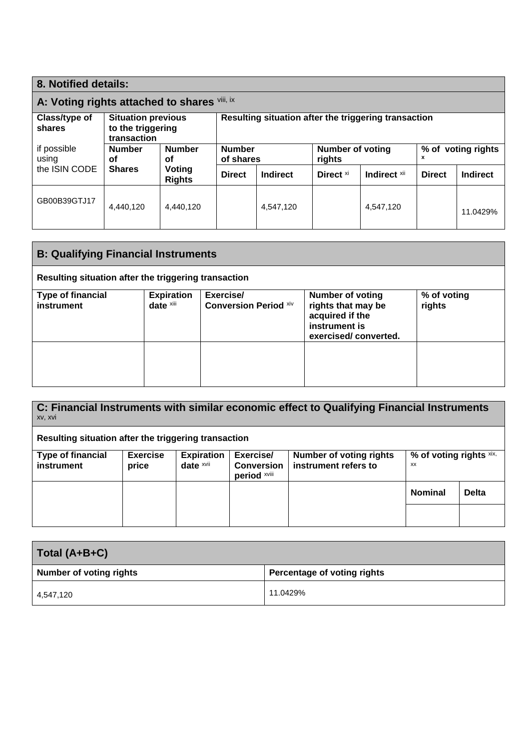| 8. Notified details:    |                                                               |                         |                                                      |                 |                                   |              |               |                    |
|-------------------------|---------------------------------------------------------------|-------------------------|------------------------------------------------------|-----------------|-----------------------------------|--------------|---------------|--------------------|
|                         | A: Voting rights attached to shares Vill, ix                  |                         |                                                      |                 |                                   |              |               |                    |
| Class/type of<br>shares | <b>Situation previous</b><br>to the triggering<br>transaction |                         | Resulting situation after the triggering transaction |                 |                                   |              |               |                    |
| if possible<br>using    | <b>Number</b><br>οf                                           | <b>Number</b><br>οf     | <b>Number</b><br>of shares                           |                 | <b>Number of voting</b><br>rights |              | x             | % of voting rights |
| the ISIN CODE           | <b>Shares</b>                                                 | Voting<br><b>Rights</b> | <b>Direct</b>                                        | <b>Indirect</b> | Direct <sup>xi</sup>              | Indirect xii | <b>Direct</b> | <b>Indirect</b>    |
| GB00B39GTJ17            | 4.440.120                                                     | 4.440.120               |                                                      | 4,547,120       |                                   | 4,547,120    |               | 11.0429%           |

| <b>B: Qualifying Financial Instruments</b>           |                                |                                           |                                                                                                           |                       |  |
|------------------------------------------------------|--------------------------------|-------------------------------------------|-----------------------------------------------------------------------------------------------------------|-----------------------|--|
| Resulting situation after the triggering transaction |                                |                                           |                                                                                                           |                       |  |
| <b>Type of financial</b><br>instrument               | <b>Expiration</b><br>date xiii | Exercise/<br><b>Conversion Period Xiv</b> | <b>Number of voting</b><br>rights that may be<br>acquired if the<br>instrument is<br>exercised/converted. | % of voting<br>rights |  |
|                                                      |                                |                                           |                                                                                                           |                       |  |

| C: Financial Instruments with similar economic effect to Qualifying Financial Instruments<br>XV, XVI |                          |                                              |                                                |                                                        |                               |              |
|------------------------------------------------------------------------------------------------------|--------------------------|----------------------------------------------|------------------------------------------------|--------------------------------------------------------|-------------------------------|--------------|
| Resulting situation after the triggering transaction                                                 |                          |                                              |                                                |                                                        |                               |              |
| <b>Type of financial</b><br>instrument                                                               | <b>Exercise</b><br>price | <b>Expiration</b><br>date $x$ <sup>vii</sup> | Exercise/<br><b>Conversion</b><br>period xviii | <b>Number of voting rights</b><br>instrument refers to | % of voting rights xix,<br>XX |              |
|                                                                                                      |                          |                                              |                                                |                                                        | <b>Nominal</b>                | <b>Delta</b> |
|                                                                                                      |                          |                                              |                                                |                                                        |                               |              |

| Total (A+B+C)                  |                             |  |  |  |
|--------------------------------|-----------------------------|--|--|--|
| <b>Number of voting rights</b> | Percentage of voting rights |  |  |  |
| 4,547,120                      | 11.0429%                    |  |  |  |